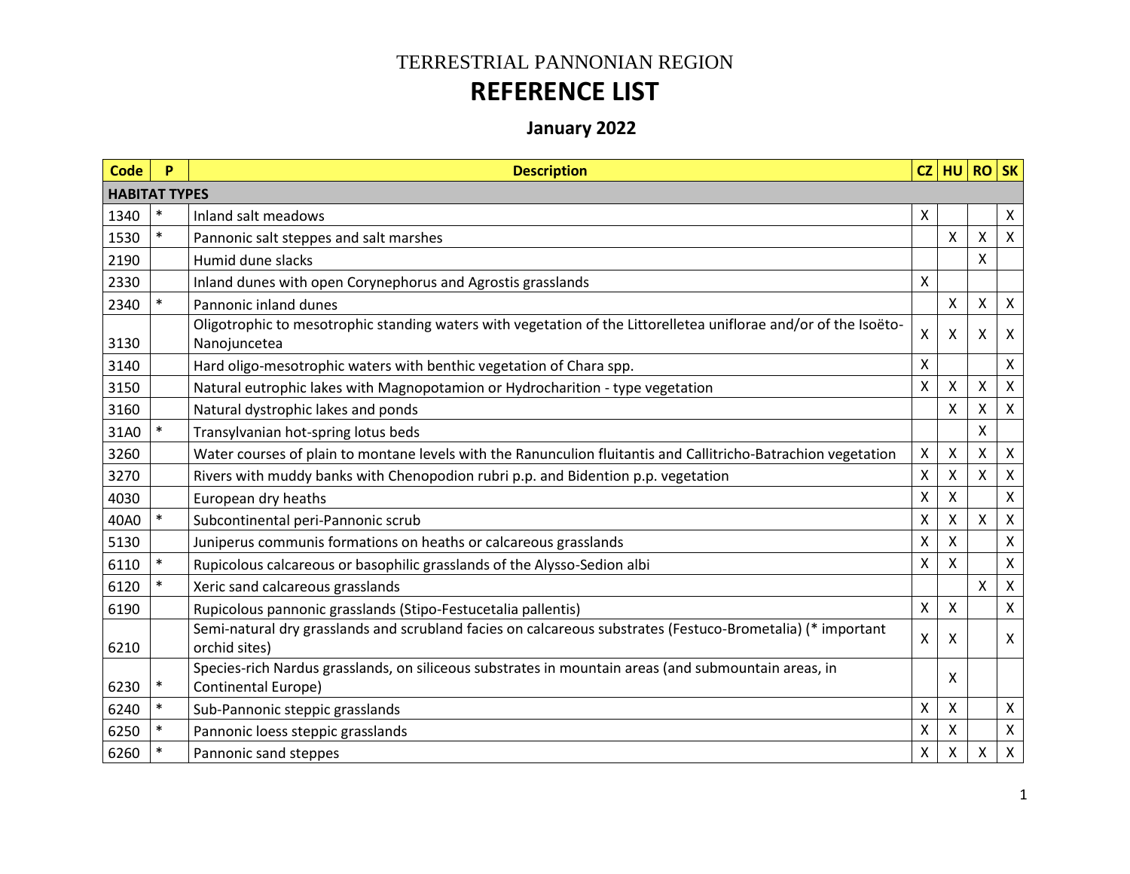## TERRESTRIAL PANNONIAN REGION **REFERENCE LIST**

## **January 2022**

| <b>Code</b>          | P      | <b>Description</b>                                                                                                               |   | $CZ$ HU RO   |   | SK                        |
|----------------------|--------|----------------------------------------------------------------------------------------------------------------------------------|---|--------------|---|---------------------------|
| <b>HABITAT TYPES</b> |        |                                                                                                                                  |   |              |   |                           |
| 1340                 | $\ast$ | Inland salt meadows                                                                                                              | X |              |   | X                         |
| 1530                 |        | Pannonic salt steppes and salt marshes                                                                                           |   | X            | X | $\mathsf{X}$              |
| 2190                 |        | Humid dune slacks                                                                                                                |   |              | X |                           |
| 2330                 |        | Inland dunes with open Corynephorus and Agrostis grasslands                                                                      | X |              |   |                           |
| 2340                 |        | Pannonic inland dunes                                                                                                            |   | $\mathsf{X}$ | Χ | $\pmb{\times}$            |
| 3130                 |        | Oligotrophic to mesotrophic standing waters with vegetation of the Littorelletea uniflorae and/or of the Isoëto-<br>Nanojuncetea | Χ | X            | Χ | $\boldsymbol{\mathsf{X}}$ |
| 3140                 |        | Hard oligo-mesotrophic waters with benthic vegetation of Chara spp.                                                              | Χ |              |   | $\mathsf{X}$              |
| 3150                 |        | Natural eutrophic lakes with Magnopotamion or Hydrocharition - type vegetation                                                   | Χ | $\mathsf{X}$ | X | $\mathsf{X}$              |
| 3160                 |        | Natural dystrophic lakes and ponds                                                                                               |   | X            | Χ | X                         |
| 31A0                 |        | Transylvanian hot-spring lotus beds                                                                                              |   |              | Χ |                           |
| 3260                 |        | Water courses of plain to montane levels with the Ranunculion fluitantis and Callitricho-Batrachion vegetation                   | Χ | $\mathsf{X}$ | Χ | $\mathsf{X}$              |
| 3270                 |        | Rivers with muddy banks with Chenopodion rubri p.p. and Bidention p.p. vegetation                                                | X | X            | Χ | X                         |
| 4030                 |        | European dry heaths                                                                                                              | X | $\mathsf{X}$ |   | $\mathsf{x}$              |
| 40A0                 |        | Subcontinental peri-Pannonic scrub                                                                                               | Χ | X            | Χ | $\mathsf{X}$              |
| 5130                 |        | Juniperus communis formations on heaths or calcareous grasslands                                                                 | x | X            |   | X                         |
| 6110                 |        | Rupicolous calcareous or basophilic grasslands of the Alysso-Sedion albi                                                         | Χ | X            |   | $\pmb{\mathsf{X}}$        |
| 6120                 |        | Xeric sand calcareous grasslands                                                                                                 |   |              | X | $\pmb{\times}$            |
| 6190                 |        | Rupicolous pannonic grasslands (Stipo-Festucetalia pallentis)                                                                    | X | $\mathsf{x}$ |   | $\pmb{\times}$            |
| 6210                 |        | Semi-natural dry grasslands and scrubland facies on calcareous substrates (Festuco-Brometalia) (* important<br>orchid sites)     | x | X            |   | $\boldsymbol{\mathsf{X}}$ |
| 6230                 | $\ast$ | Species-rich Nardus grasslands, on siliceous substrates in mountain areas (and submountain areas, in<br>Continental Europe)      |   | X            |   |                           |
| 6240                 |        | Sub-Pannonic steppic grasslands                                                                                                  | X | X            |   | $\mathsf{X}$              |
| 6250                 |        | Pannonic loess steppic grasslands                                                                                                | Χ | Χ            |   | $\mathsf{X}$              |
| 6260                 |        | Pannonic sand steppes                                                                                                            | Χ | Χ            | Χ | $\mathsf{X}$              |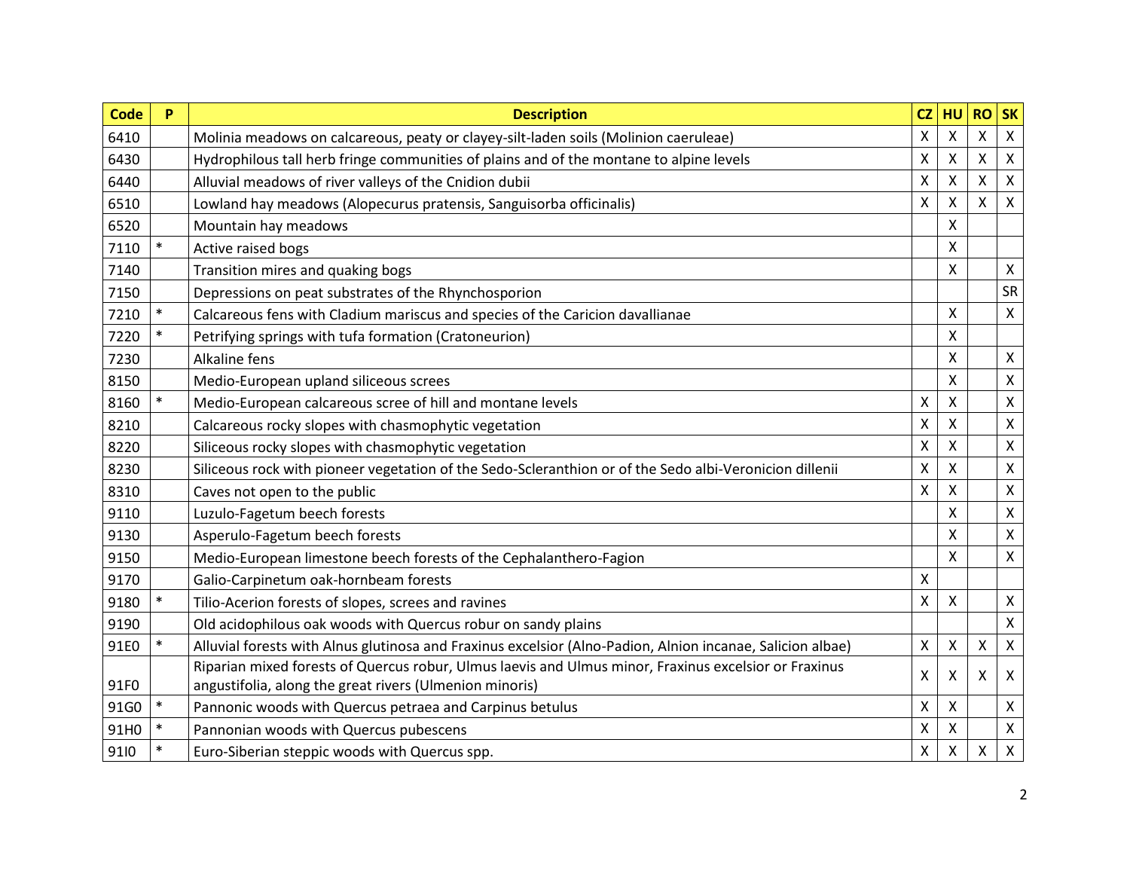| <b>Code</b> | P      | <b>Description</b>                                                                                         | CZ              | HU | <b>RO</b>                 | <b>SK</b>                 |
|-------------|--------|------------------------------------------------------------------------------------------------------------|-----------------|----|---------------------------|---------------------------|
| 6410        |        | Molinia meadows on calcareous, peaty or clayey-silt-laden soils (Molinion caeruleae)                       | $\mathsf{\chi}$ | X  | $\mathsf{\chi}$           | $\boldsymbol{\mathsf{X}}$ |
| 6430        |        | Hydrophilous tall herb fringe communities of plains and of the montane to alpine levels                    | X               | X  | X                         | $\pmb{\times}$            |
| 6440        |        | Alluvial meadows of river valleys of the Cnidion dubii                                                     | X               | X  | X                         | $\boldsymbol{\mathsf{X}}$ |
| 6510        |        | Lowland hay meadows (Alopecurus pratensis, Sanguisorba officinalis)                                        | X               | X  | X                         | $\mathsf{X}$              |
| 6520        |        | Mountain hay meadows                                                                                       |                 | X  |                           |                           |
| 7110        | $\ast$ | Active raised bogs                                                                                         |                 | Χ  |                           |                           |
| 7140        |        | Transition mires and quaking bogs                                                                          |                 | X  |                           | $\boldsymbol{\mathsf{X}}$ |
| 7150        |        | Depressions on peat substrates of the Rhynchosporion                                                       |                 |    |                           | SR                        |
| 7210        |        | Calcareous fens with Cladium mariscus and species of the Caricion davallianae                              |                 | Χ  |                           | $\boldsymbol{\mathsf{X}}$ |
| 7220        | $\ast$ | Petrifying springs with tufa formation (Cratoneurion)                                                      |                 | Χ  |                           |                           |
| 7230        |        | <b>Alkaline fens</b>                                                                                       |                 | X  |                           | $\boldsymbol{\mathsf{X}}$ |
| 8150        |        | Medio-European upland siliceous screes                                                                     |                 | X  |                           | $\pmb{\mathsf{X}}$        |
| 8160        |        | Medio-European calcareous scree of hill and montane levels                                                 | X               | Χ  |                           | $\pmb{\times}$            |
| 8210        |        | Calcareous rocky slopes with chasmophytic vegetation                                                       | X               | X  |                           | $\pmb{\times}$            |
| 8220        |        | Siliceous rocky slopes with chasmophytic vegetation                                                        | X               | X  |                           | $\pmb{\times}$            |
| 8230        |        | Siliceous rock with pioneer vegetation of the Sedo-Scleranthion or of the Sedo albi-Veronicion dillenii    | X               | X  |                           | $\boldsymbol{\mathsf{X}}$ |
| 8310        |        | Caves not open to the public                                                                               | X               | Χ  |                           | $\pmb{\times}$            |
| 9110        |        | Luzulo-Fagetum beech forests                                                                               |                 | x  |                           | $\pmb{\times}$            |
| 9130        |        | Asperulo-Fagetum beech forests                                                                             |                 | x  |                           | $\mathsf{X}$              |
| 9150        |        | Medio-European limestone beech forests of the Cephalanthero-Fagion                                         |                 | X  |                           | $\mathsf{X}$              |
| 9170        |        | Galio-Carpinetum oak-hornbeam forests                                                                      | X               |    |                           |                           |
| 9180        | $\ast$ | Tilio-Acerion forests of slopes, screes and ravines                                                        | X               | X  |                           | $\mathsf{X}$              |
| 9190        |        | Old acidophilous oak woods with Quercus robur on sandy plains                                              |                 |    |                           | $\mathsf{X}$              |
| 91E0        |        | Alluvial forests with Alnus glutinosa and Fraxinus excelsior (Alno-Padion, Alnion incanae, Salicion albae) | Χ               | X  | $\boldsymbol{\mathsf{X}}$ | $\mathsf{X}$              |
|             |        | Riparian mixed forests of Quercus robur, Ulmus laevis and Ulmus minor, Fraxinus excelsior or Fraxinus      | X               | X  | X                         | $\boldsymbol{\mathsf{X}}$ |
| 91F0        |        | angustifolia, along the great rivers (Ulmenion minoris)                                                    |                 |    |                           |                           |
| 91G0        | $\ast$ | Pannonic woods with Quercus petraea and Carpinus betulus                                                   | Χ               | X  |                           | $\pmb{\times}$            |
| 91H0        |        | Pannonian woods with Quercus pubescens                                                                     | Χ               | Χ  |                           | $\pmb{\times}$            |
| 9110        |        | Euro-Siberian steppic woods with Quercus spp.                                                              | Χ               | X  | Χ                         | $\pmb{\mathsf{X}}$        |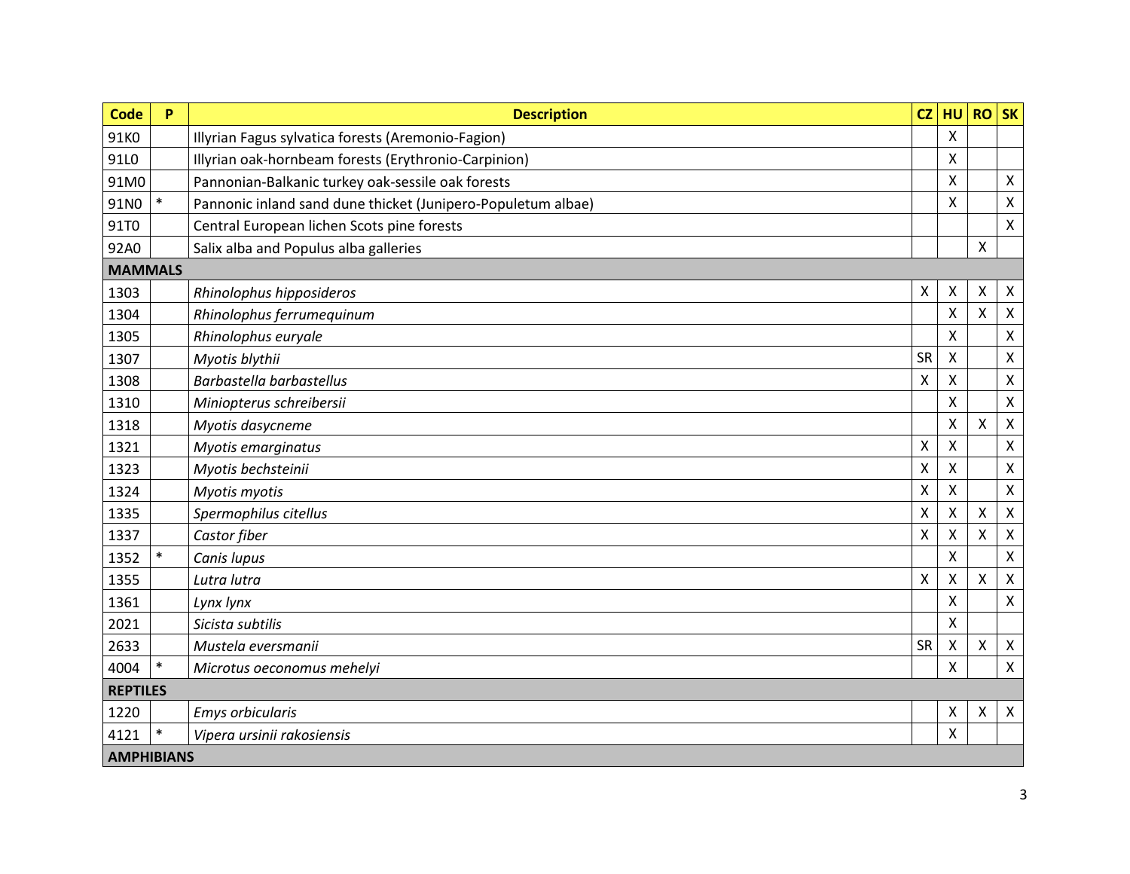| <b>Code</b>     | P                 | <b>Description</b>                                           | CZ                        | HU                        | $RO$ SK                   |                           |  |  |  |  |
|-----------------|-------------------|--------------------------------------------------------------|---------------------------|---------------------------|---------------------------|---------------------------|--|--|--|--|
| 91K0            |                   | Illyrian Fagus sylvatica forests (Aremonio-Fagion)           |                           | X                         |                           |                           |  |  |  |  |
| 91L0            |                   | Illyrian oak-hornbeam forests (Erythronio-Carpinion)         |                           | X                         |                           |                           |  |  |  |  |
| 91M0            |                   | Pannonian-Balkanic turkey oak-sessile oak forests            |                           | Χ                         |                           | $\mathsf{X}$              |  |  |  |  |
| 91N0            | $\ast$            | Pannonic inland sand dune thicket (Junipero-Populetum albae) |                           | Χ                         |                           | $\mathsf X$               |  |  |  |  |
| 91T0            |                   | Central European lichen Scots pine forests                   |                           |                           |                           | $\boldsymbol{\mathsf{X}}$ |  |  |  |  |
| 92A0            |                   | Salix alba and Populus alba galleries                        |                           |                           | $\boldsymbol{\mathsf{X}}$ |                           |  |  |  |  |
| <b>MAMMALS</b>  |                   |                                                              |                           |                           |                           |                           |  |  |  |  |
| 1303            |                   | Rhinolophus hipposideros                                     | X                         | X                         | $\boldsymbol{\mathsf{X}}$ | X                         |  |  |  |  |
| 1304            |                   | Rhinolophus ferrumequinum                                    |                           | $\pmb{\mathsf{X}}$        | $\mathsf{\chi}$           | $\boldsymbol{\mathsf{X}}$ |  |  |  |  |
| 1305            |                   | Rhinolophus euryale                                          |                           | X                         |                           | $\boldsymbol{\mathsf{X}}$ |  |  |  |  |
| 1307            |                   | Myotis blythii                                               | <b>SR</b>                 | X                         |                           | $\boldsymbol{\mathsf{X}}$ |  |  |  |  |
| 1308            |                   | Barbastella barbastellus                                     | X                         | x                         |                           | $\boldsymbol{\mathsf{X}}$ |  |  |  |  |
| 1310            |                   | Miniopterus schreibersii                                     |                           | X                         |                           | $\pmb{\times}$            |  |  |  |  |
| 1318            |                   | Myotis dasycneme                                             |                           | X                         | X                         | $\boldsymbol{\mathsf{X}}$ |  |  |  |  |
| 1321            |                   | Myotis emarginatus                                           | $\mathsf{\chi}$           | $\boldsymbol{\mathsf{X}}$ |                           | $\pmb{\times}$            |  |  |  |  |
| 1323            |                   | Myotis bechsteinii                                           | X                         | x                         |                           | $\boldsymbol{\mathsf{X}}$ |  |  |  |  |
| 1324            |                   | Myotis myotis                                                | $\mathsf{\chi}$           | $\mathsf{x}$              |                           | $\boldsymbol{\mathsf{X}}$ |  |  |  |  |
| 1335            |                   | Spermophilus citellus                                        | X                         | X                         | X                         | $\boldsymbol{\mathsf{X}}$ |  |  |  |  |
| 1337            |                   | Castor fiber                                                 | $\boldsymbol{\mathsf{X}}$ | Χ                         | $\times$                  | $\pmb{\times}$            |  |  |  |  |
| 1352            | $\ast$            | Canis lupus                                                  |                           | X                         |                           | $\boldsymbol{\mathsf{X}}$ |  |  |  |  |
| 1355            |                   | Lutra lutra                                                  | $\mathsf{X}$              | X                         | $\pmb{\times}$            | $\boldsymbol{\mathsf{X}}$ |  |  |  |  |
| 1361            |                   | Lynx lynx                                                    |                           | X                         |                           | $\boldsymbol{\mathsf{X}}$ |  |  |  |  |
| 2021            |                   | Sicista subtilis                                             |                           | Χ                         |                           |                           |  |  |  |  |
| 2633            |                   | Mustela eversmanii                                           | <b>SR</b>                 | X                         | X                         | $\boldsymbol{\mathsf{X}}$ |  |  |  |  |
| 4004            | $\ast$            | Microtus oeconomus mehelyi                                   |                           | X                         |                           | $\mathsf{X}$              |  |  |  |  |
| <b>REPTILES</b> |                   |                                                              |                           |                           |                           |                           |  |  |  |  |
| 1220            |                   | Emys orbicularis                                             |                           | X                         | X                         | $\mathsf{X}$              |  |  |  |  |
| 4121            | $\ast$            | Vipera ursinii rakosiensis                                   |                           | Χ                         |                           |                           |  |  |  |  |
|                 | <b>AMPHIBIANS</b> |                                                              |                           |                           |                           |                           |  |  |  |  |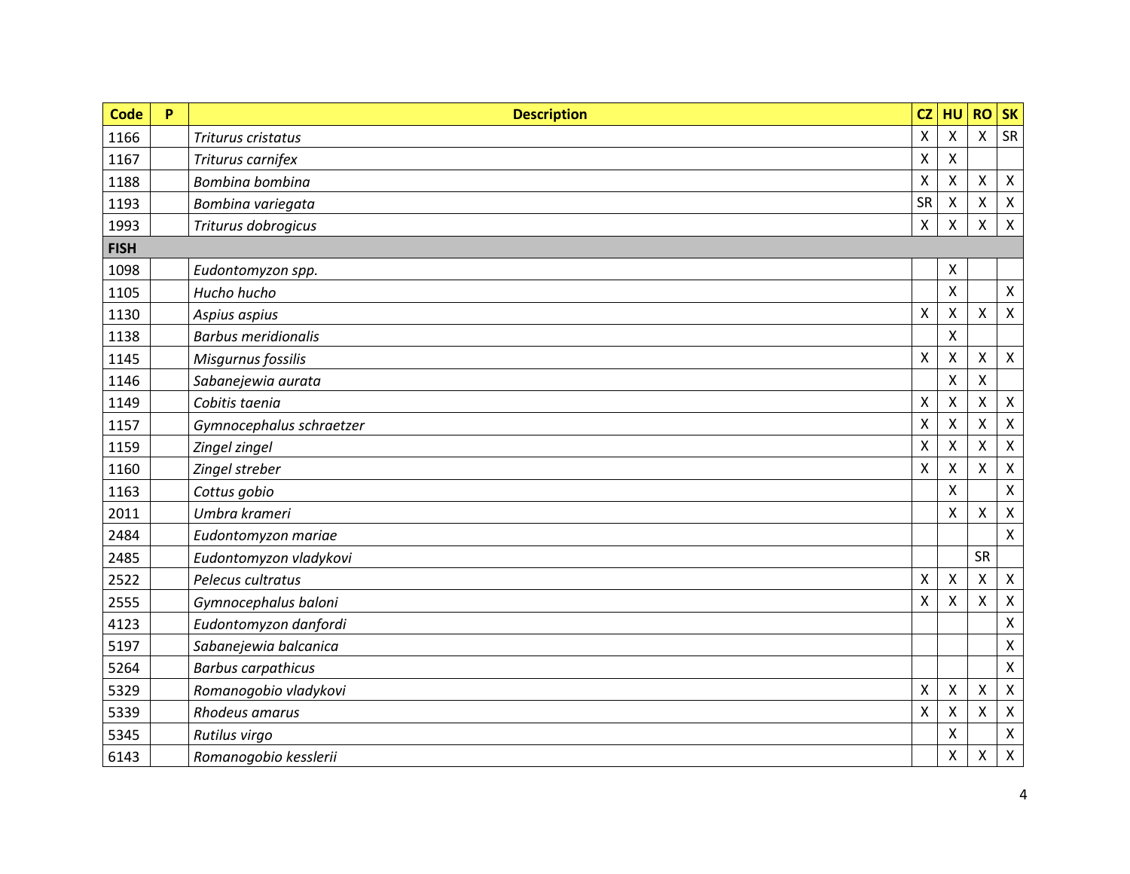| <b>Code</b> | P | <b>Description</b>         | CZ                        | HU                 | <b>RO</b>                 | <b>SK</b>                 |
|-------------|---|----------------------------|---------------------------|--------------------|---------------------------|---------------------------|
| 1166        |   | Triturus cristatus         | $\boldsymbol{\mathsf{X}}$ | $\pmb{\mathsf{X}}$ | $\pmb{\mathsf{X}}$        | SR                        |
| 1167        |   | Triturus carnifex          | $\pmb{\times}$            | $\mathsf{X}$       |                           |                           |
| 1188        |   | Bombina bombina            | $\pmb{\times}$            | Χ                  | $\pmb{\times}$            | $\pmb{\times}$            |
| 1193        |   | Bombina variegata          | <b>SR</b>                 | X                  | X                         | $\pmb{\times}$            |
| 1993        |   | Triturus dobrogicus        | Χ                         | X                  | $\boldsymbol{\mathsf{X}}$ | $\pmb{\times}$            |
| <b>FISH</b> |   |                            |                           |                    |                           |                           |
| 1098        |   | Eudontomyzon spp.          |                           | Χ                  |                           |                           |
| 1105        |   | Hucho hucho                |                           | X                  |                           | $\mathsf{X}$              |
| 1130        |   | Aspius aspius              | X                         | X                  | $\pmb{\mathsf{X}}$        | $\pmb{\times}$            |
| 1138        |   | <b>Barbus meridionalis</b> |                           | Χ                  |                           |                           |
| 1145        |   | Misgurnus fossilis         | X                         | X                  | $\pmb{\mathsf{X}}$        | $\pmb{\times}$            |
| 1146        |   | Sabanejewia aurata         |                           | X                  | X                         |                           |
| 1149        |   | Cobitis taenia             | X                         | $\pmb{\mathsf{X}}$ | $\pmb{\mathsf{X}}$        | $\pmb{\times}$            |
| 1157        |   | Gymnocephalus schraetzer   | $\boldsymbol{\mathsf{X}}$ | $\pmb{\times}$     | X                         | $\pmb{\times}$            |
| 1159        |   | Zingel zingel              | $\pmb{\times}$            | Χ                  | X                         | $\pmb{\times}$            |
| 1160        |   | Zingel streber             | X                         | X                  | X                         | $\boldsymbol{\mathsf{X}}$ |
| 1163        |   | Cottus gobio               |                           | Χ                  |                           | $\pmb{\times}$            |
| 2011        |   | Umbra krameri              |                           | X                  | $\mathsf{X}$              | $\pmb{\times}$            |
| 2484        |   | Eudontomyzon mariae        |                           |                    |                           | $\pmb{\times}$            |
| 2485        |   | Eudontomyzon vladykovi     |                           |                    | <b>SR</b>                 |                           |
| 2522        |   | Pelecus cultratus          | X                         | $\pmb{\times}$     | $\boldsymbol{\mathsf{X}}$ | $\mathsf{X}$              |
| 2555        |   | Gymnocephalus baloni       | X                         | X                  | X                         | $\boldsymbol{\mathsf{X}}$ |
| 4123        |   | Eudontomyzon danfordi      |                           |                    |                           | $\pmb{\times}$            |
| 5197        |   | Sabanejewia balcanica      |                           |                    |                           | $\pmb{\times}$            |
| 5264        |   | <b>Barbus carpathicus</b>  |                           |                    |                           | $\pmb{\times}$            |
| 5329        |   | Romanogobio vladykovi      | $\pmb{\times}$            | $\pmb{\mathsf{X}}$ | $\mathsf{\chi}$           | $\pmb{\times}$            |
| 5339        |   | Rhodeus amarus             | Χ                         | X                  | X                         | $\pmb{\times}$            |
| 5345        |   | Rutilus virgo              |                           | X                  |                           | $\pmb{\times}$            |
| 6143        |   | Romanogobio kesslerii      |                           | Χ                  | $\boldsymbol{\mathsf{X}}$ | $\pmb{\times}$            |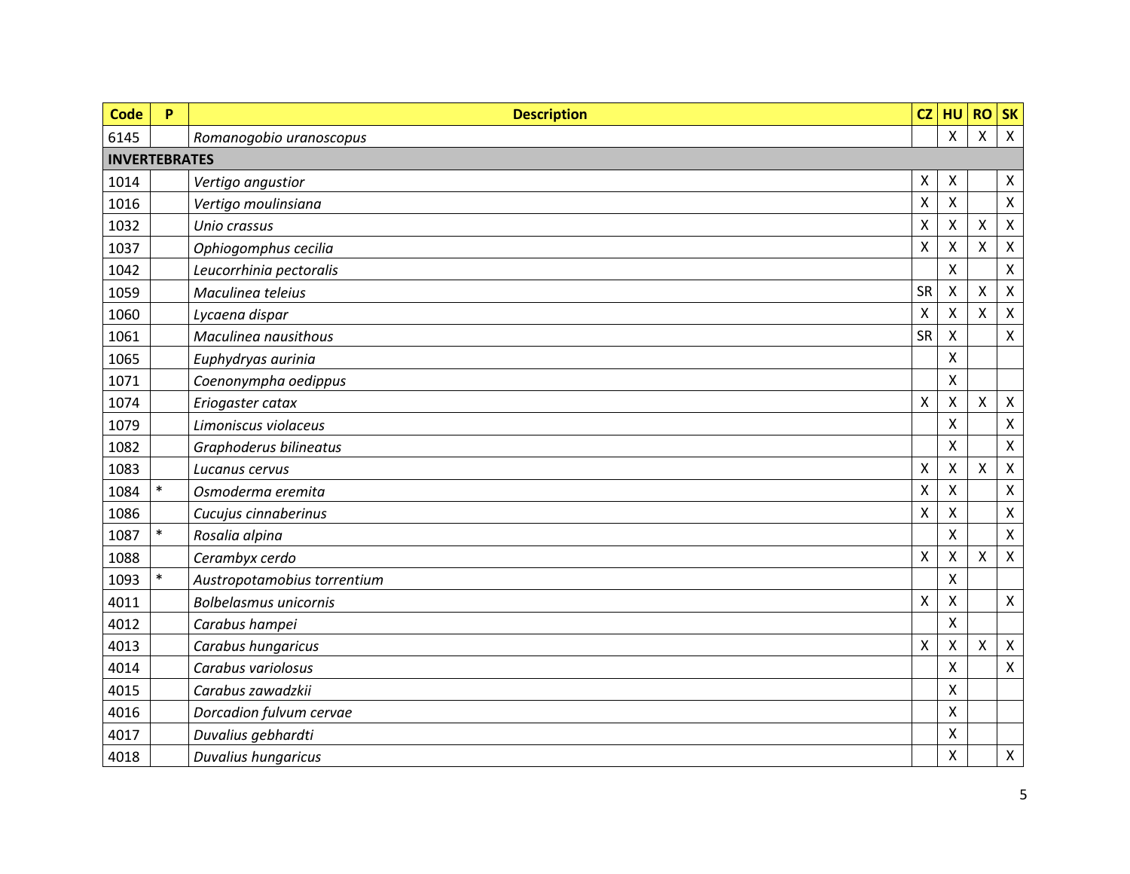| <b>Code</b>          | P      | <b>Description</b>           | CZ              | HU                 | <b>RO</b>                 | <b>SK</b>                 |
|----------------------|--------|------------------------------|-----------------|--------------------|---------------------------|---------------------------|
| 6145                 |        | Romanogobio uranoscopus      |                 | X                  | $\mathsf{\chi}$           | $\pmb{\times}$            |
| <b>INVERTEBRATES</b> |        |                              |                 |                    |                           |                           |
| 1014                 |        | Vertigo angustior            | X               | $\pmb{\times}$     |                           | $\boldsymbol{\mathsf{X}}$ |
| 1016                 |        | Vertigo moulinsiana          | X               | X                  |                           | $\pmb{\times}$            |
| 1032                 |        | Unio crassus                 | X               | Χ                  | $\boldsymbol{\mathsf{X}}$ | $\pmb{\times}$            |
| 1037                 |        | Ophiogomphus cecilia         | Χ               | Χ                  | X                         | $\pmb{\times}$            |
| 1042                 |        | Leucorrhinia pectoralis      |                 | X                  |                           | $\pmb{\times}$            |
| 1059                 |        | Maculinea teleius            | <b>SR</b>       | $\pmb{\times}$     | X                         | $\pmb{\times}$            |
| 1060                 |        | Lycaena dispar               | X               | X                  | $\sf X$                   | $\pmb{\times}$            |
| 1061                 |        | Maculinea nausithous         | SR              | X                  |                           | $\pmb{\times}$            |
| 1065                 |        | Euphydryas aurinia           |                 | X                  |                           |                           |
| 1071                 |        | Coenonympha oedippus         |                 | X                  |                           |                           |
| 1074                 |        | Eriogaster catax             | $\mathsf{\chi}$ | X                  | X                         | $\mathsf{X}$              |
| 1079                 |        | Limoniscus violaceus         |                 | X                  |                           | $\boldsymbol{\mathsf{X}}$ |
| 1082                 |        | Graphoderus bilineatus       |                 | Χ                  |                           | $\pmb{\times}$            |
| 1083                 |        | Lucanus cervus               | X               | X                  | X                         | $\boldsymbol{\mathsf{X}}$ |
| 1084                 | $\ast$ | Osmoderma eremita            | X               | X                  |                           | $\boldsymbol{\mathsf{X}}$ |
| 1086                 |        | Cucujus cinnaberinus         | X               | X                  |                           | $\boldsymbol{\mathsf{X}}$ |
| 1087                 | $\ast$ | Rosalia alpina               |                 | Χ                  |                           | $\pmb{\times}$            |
| 1088                 |        | Cerambyx cerdo               | X               | X                  | X                         | $\boldsymbol{\mathsf{X}}$ |
| 1093                 |        | Austropotamobius torrentium  |                 | Χ                  |                           |                           |
| 4011                 |        | <b>Bolbelasmus unicornis</b> | $\pmb{\times}$  | $\pmb{\mathsf{X}}$ |                           | $\boldsymbol{\mathsf{X}}$ |
| 4012                 |        | Carabus hampei               |                 | Χ                  |                           |                           |
| 4013                 |        | Carabus hungaricus           | X               | X                  | X                         | $\pmb{\times}$            |
| 4014                 |        | Carabus variolosus           |                 | Χ                  |                           | $\pmb{\times}$            |
| 4015                 |        | Carabus zawadzkii            |                 | Χ                  |                           |                           |
| 4016                 |        | Dorcadion fulvum cervae      |                 | x                  |                           |                           |
| 4017                 |        | Duvalius gebhardti           |                 | Χ                  |                           |                           |
| 4018                 |        | Duvalius hungaricus          |                 | Χ                  |                           | $\mathsf{X}$              |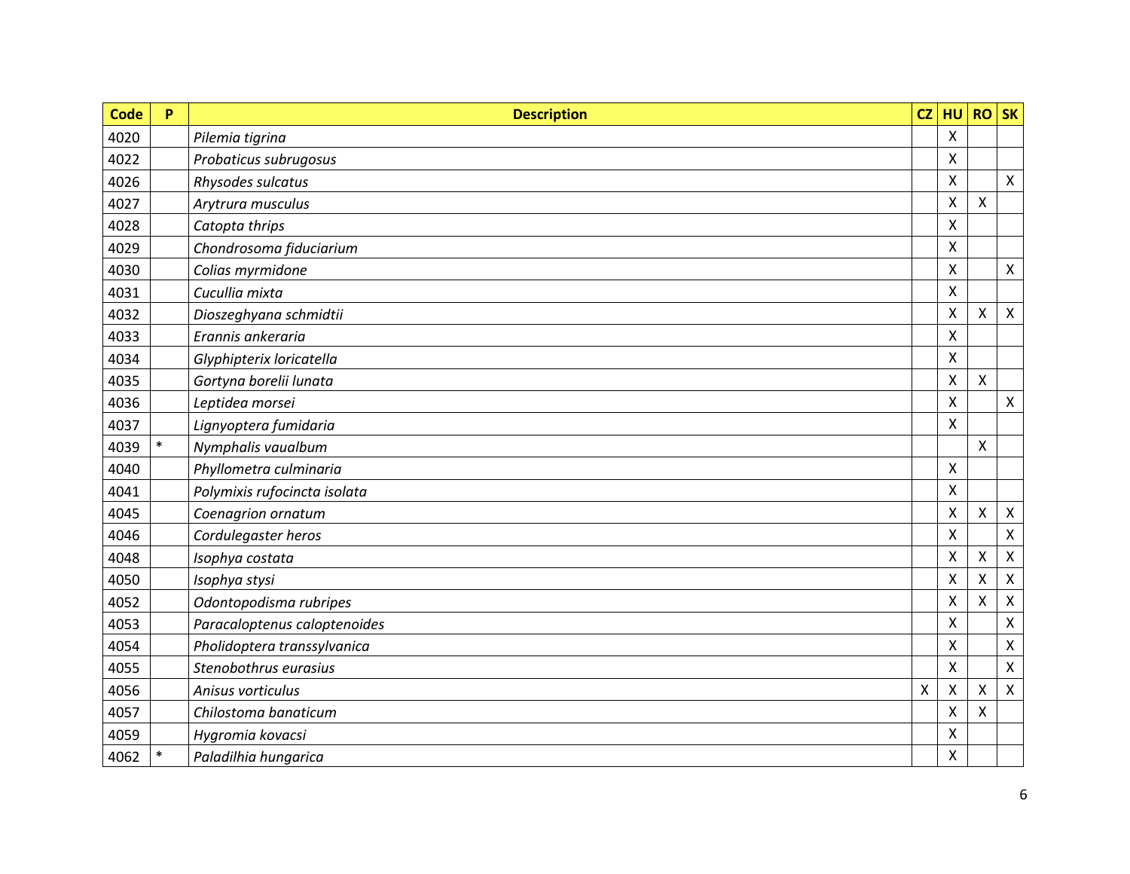| <b>Code</b> | P      | <b>Description</b>           | CZ              | HU                 | $RO$ SK                   |                           |
|-------------|--------|------------------------------|-----------------|--------------------|---------------------------|---------------------------|
| 4020        |        | Pilemia tigrina              |                 | $\pmb{\mathsf{X}}$ |                           |                           |
| 4022        |        | Probaticus subrugosus        |                 | X                  |                           |                           |
| 4026        |        | Rhysodes sulcatus            |                 | X                  |                           | $\mathsf{X}$              |
| 4027        |        | Arytrura musculus            |                 | Χ                  | X                         |                           |
| 4028        |        | Catopta thrips               |                 | X                  |                           |                           |
| 4029        |        | Chondrosoma fiduciarium      |                 | Χ                  |                           |                           |
| 4030        |        | Colias myrmidone             |                 | Χ                  |                           | $\mathsf{X}$              |
| 4031        |        | Cucullia mixta               |                 | Χ                  |                           |                           |
| 4032        |        | Dioszeghyana schmidtii       |                 | X                  | $\pmb{\times}$            | $\mathsf{X}$              |
| 4033        |        | Erannis ankeraria            |                 | Χ                  |                           |                           |
| 4034        |        | Glyphipterix loricatella     |                 | X                  |                           |                           |
| 4035        |        | Gortyna borelii lunata       |                 | Χ                  | X                         |                           |
| 4036        |        | Leptidea morsei              |                 | Χ                  |                           | $\mathsf{X}$              |
| 4037        |        | Lignyoptera fumidaria        |                 | X                  |                           |                           |
| 4039        | $\ast$ | Nymphalis vaualbum           |                 |                    | $\boldsymbol{\mathsf{X}}$ |                           |
| 4040        |        | Phyllometra culminaria       |                 | X                  |                           |                           |
| 4041        |        | Polymixis rufocincta isolata |                 | Χ                  |                           |                           |
| 4045        |        | Coenagrion ornatum           |                 | Χ                  | $\pmb{\mathsf{X}}$        | $\mathsf{X}$              |
| 4046        |        | Cordulegaster heros          |                 | X                  |                           | $\pmb{\times}$            |
| 4048        |        | Isophya costata              |                 | X                  | $\pmb{\times}$            | $\boldsymbol{\mathsf{X}}$ |
| 4050        |        | Isophya stysi                |                 | Χ                  | X                         | $\pmb{\times}$            |
| 4052        |        | Odontopodisma rubripes       |                 | X                  | X                         | $\boldsymbol{\mathsf{X}}$ |
| 4053        |        | Paracaloptenus caloptenoides |                 | X                  |                           | $\pmb{\times}$            |
| 4054        |        | Pholidoptera transsylvanica  |                 | Χ                  |                           | $\pmb{\times}$            |
| 4055        |        | Stenobothrus eurasius        |                 | X                  |                           | $\pmb{\times}$            |
| 4056        |        | Anisus vorticulus            | $\mathsf{\chi}$ | X                  | $\pmb{\mathsf{X}}$        | $\pmb{\times}$            |
| 4057        |        | Chilostoma banaticum         |                 | X                  | X                         |                           |
| 4059        |        | Hygromia kovacsi             |                 | X                  |                           |                           |
| 4062        | $\ast$ | Paladilhia hungarica         |                 | Χ                  |                           |                           |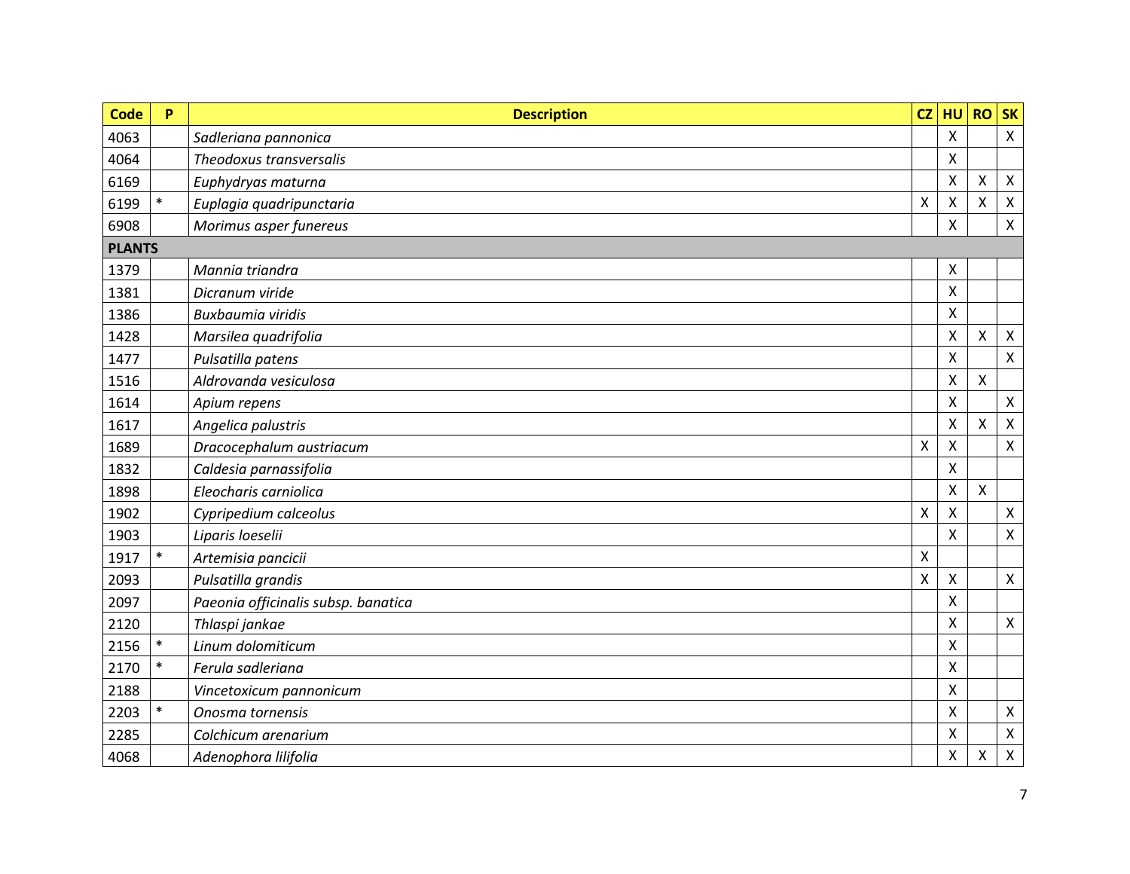| <b>Code</b>   | P      | <b>Description</b>                  | CZ                 | HU | <b>RO</b>                 | <b>SK</b>                 |
|---------------|--------|-------------------------------------|--------------------|----|---------------------------|---------------------------|
| 4063          |        | Sadleriana pannonica                |                    | X  |                           | $\mathsf{X}$              |
| 4064          |        | Theodoxus transversalis             |                    | X  |                           |                           |
| 6169          |        | Euphydryas maturna                  |                    | Χ  | $\mathsf{X}$              | $\boldsymbol{\mathsf{X}}$ |
| 6199          | $\ast$ | Euplagia quadripunctaria            | Χ                  | Χ  | $\boldsymbol{\mathsf{X}}$ | X                         |
| 6908          |        | Morimus asper funereus              |                    | Χ  |                           | $\mathsf{X}$              |
| <b>PLANTS</b> |        |                                     |                    |    |                           |                           |
| 1379          |        | Mannia triandra                     |                    | X  |                           |                           |
| 1381          |        | Dicranum viride                     |                    | Χ  |                           |                           |
| 1386          |        | Buxbaumia viridis                   |                    | X  |                           |                           |
| 1428          |        | Marsilea quadrifolia                |                    | Χ  | $\boldsymbol{\mathsf{X}}$ | X                         |
| 1477          |        | Pulsatilla patens                   |                    | Χ  |                           | $\mathsf{X}$              |
| 1516          |        | Aldrovanda vesiculosa               |                    | Χ  | $\mathsf{X}$              |                           |
| 1614          |        | Apium repens                        |                    | Χ  |                           | $\mathsf{X}$              |
| 1617          |        | Angelica palustris                  |                    | X  | $\boldsymbol{\mathsf{X}}$ | $\pmb{\times}$            |
| 1689          |        | Dracocephalum austriacum            | $\pmb{\mathsf{X}}$ | Χ  |                           | $\mathsf{X}$              |
| 1832          |        | Caldesia parnassifolia              |                    | X  |                           |                           |
| 1898          |        | Eleocharis carniolica               |                    | Χ  | $\boldsymbol{\mathsf{X}}$ |                           |
| 1902          |        | Cypripedium calceolus               | $\pmb{\mathsf{X}}$ | Χ  |                           | $\mathsf{X}$              |
| 1903          |        | Liparis loeselii                    |                    | X  |                           | $\mathsf{X}$              |
| 1917          |        | Artemisia pancicii                  | Χ                  |    |                           |                           |
| 2093          |        | Pulsatilla grandis                  | Χ                  | Χ  |                           | $\mathsf{X}$              |
| 2097          |        | Paeonia officinalis subsp. banatica |                    | X  |                           |                           |
| 2120          |        | Thlaspi jankae                      |                    | X  |                           | $\mathsf{X}$              |
| 2156          | $\ast$ | Linum dolomiticum                   |                    | Χ  |                           |                           |
| 2170          | $\ast$ | Ferula sadleriana                   |                    | X  |                           |                           |
| 2188          |        | Vincetoxicum pannonicum             |                    | Χ  |                           |                           |
| 2203          | $\ast$ | Onosma tornensis                    |                    | Χ  |                           | $\pmb{\mathsf{X}}$        |
| 2285          |        | Colchicum arenarium                 |                    | X  |                           | $\mathsf{X}$              |
| 4068          |        | Adenophora lilifolia                |                    | Χ  | $\mathsf{X}$              | $\pmb{\times}$            |